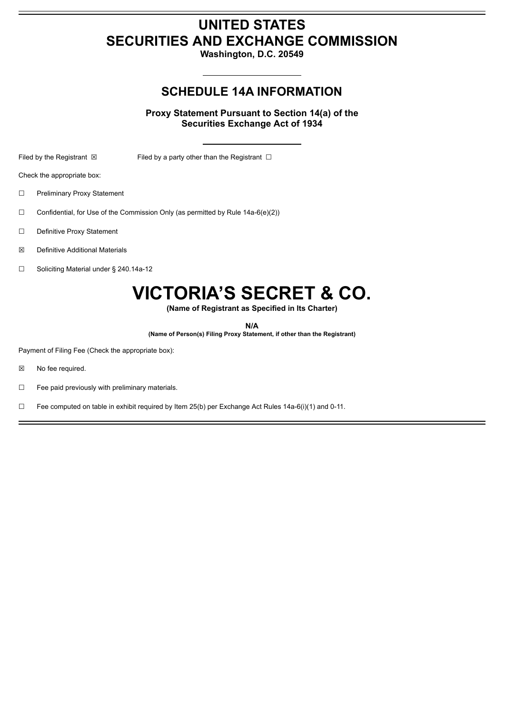## **UNITED STATES SECURITIES AND EXCHANGE COMMISSION**

**Washington, D.C. 20549**

## **SCHEDULE 14A INFORMATION**

**Proxy Statement Pursuant to Section 14(a) of the Securities Exchange Act of 1934**

Filed by the Registrant  $\boxtimes$  Filed by a party other than the Registrant  $\Box$ 

Check the appropriate box:

- ☐ Preliminary Proxy Statement
- $\Box$  Confidential, for Use of the Commission Only (as permitted by Rule 14a-6(e)(2))
- ☐ Definitive Proxy Statement
- ☒ Definitive Additional Materials
- ☐ Soliciting Material under § 240.14a-12

# **VICTORIA'S SECRET & CO.**

**(Name of Registrant as Specified in Its Charter)**

**N/A**

**(Name of Person(s) Filing Proxy Statement, if other than the Registrant)**

Payment of Filing Fee (Check the appropriate box):

- ☒ No fee required.
- $\Box$  Fee paid previously with preliminary materials.
- ☐ Fee computed on table in exhibit required by Item 25(b) per Exchange Act Rules 14a-6(i)(1) and 0-11.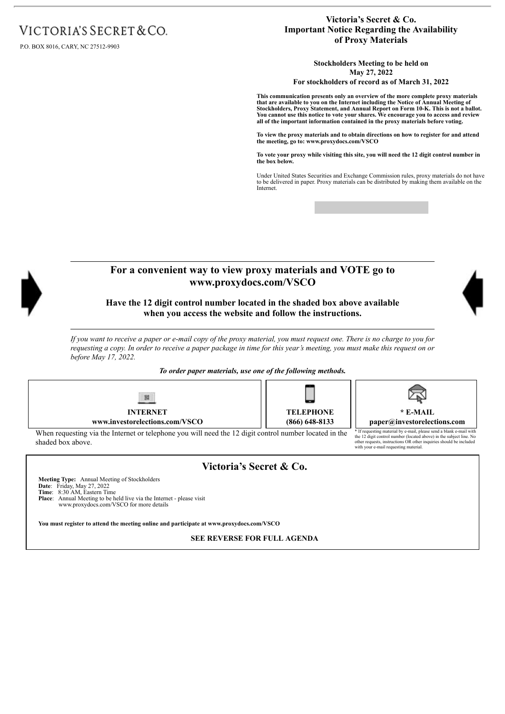# VICTORIA'S SECRET & CO.

P.O. BOX 8016, CARY, NC 27512-9903

#### **Victoria's Secret & Co. Important Notice Regarding the Availability of Proxy Materials**

**Stockholders Meeting to be held on May 27, 2022**

**For stockholders of record as of March 31, 2022**

**This communication presents only an overview of the more complete proxy materials that are available to you on the Internet including the Notice of Annual Meeting of** Stockholders, Proxy Statement, and Annual Report on Form 10-K. This is not a ballot.<br>You cannot use this notice to vote your shares. We encourage you to access and review<br>all of the important information contained in the p

To view the proxy materials and to obtain directions on how to register for and attend<br>the meeting, go to: www.proxydocs.com/VSCO

**To vote your proxy while visiting this site, you will need the 12 digit control number in the box below.**

Under United States Securities and Exchange Commission rules, proxy materials do not have to be delivered in paper. Proxy materials can be distributed by making them available on the Internet.

other requests, instructions OR other inquiries should be included with your e-mail requesting material.



When requesting via the Internet or telephone you will need the 12 digit control number located in the shaded box above.

**Victoria's Secret & Co.**

**Meeting Type:** Annual Meeting of Stockholders **Date**: Friday, May 27, 2022 **Time**: 8:30 AM, Eastern Time Place: Annual Meeting to be held live via the Internet - please visit

www.proxydocs.com/VSCO for more details

**You must register to attend the meeting online and participate at www.proxydocs.com/VSCO**

**SEE REVERSE FOR FULL AGENDA**